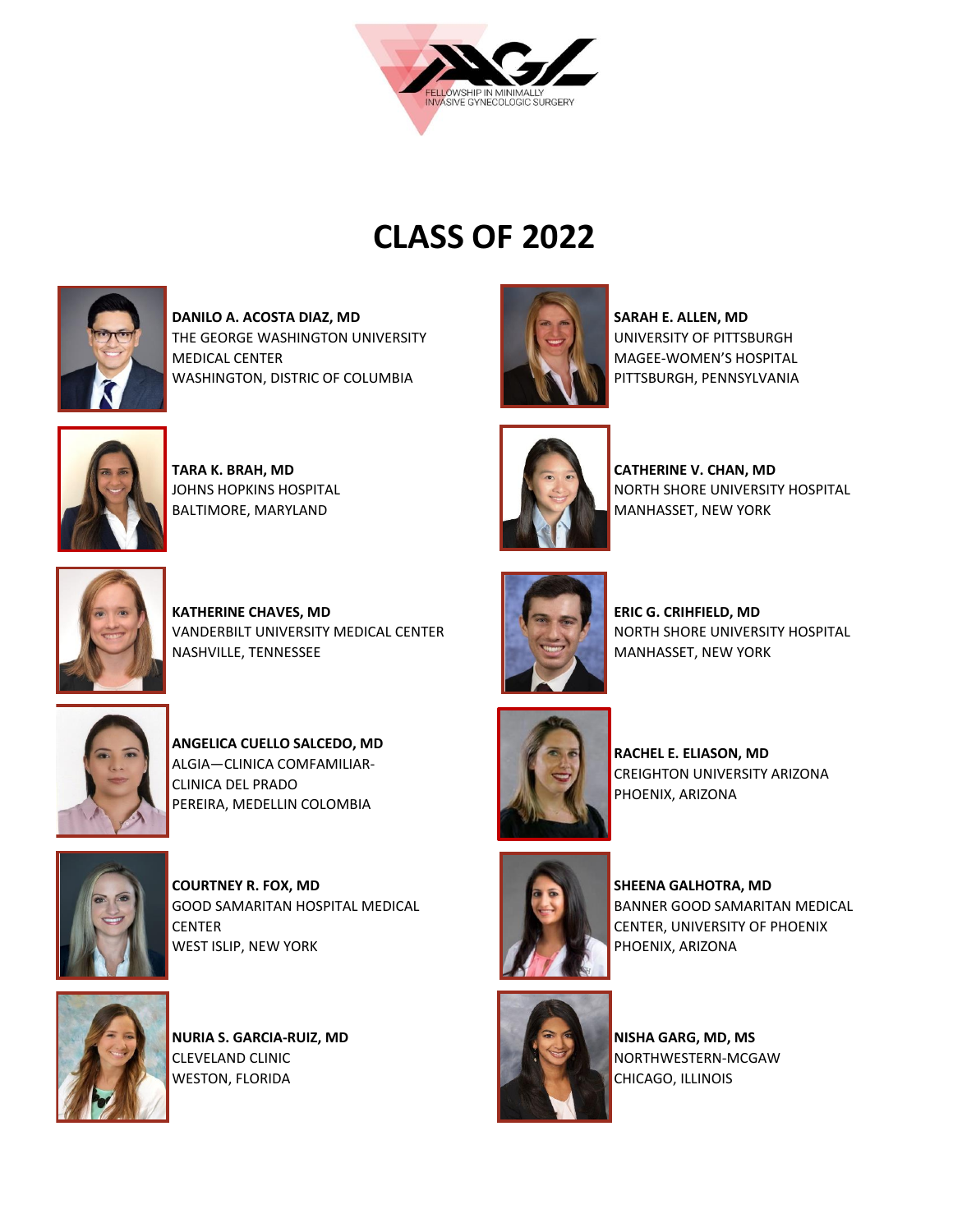

## **CLASS OF 2022**



**DANILO A. ACOSTA DIAZ, MD**  THE GEORGE WASHINGTON UNIVERSITY MEDICAL CENTER WASHINGTON, DISTRIC OF COLUMBIA



**TARA K. BRAH, MD** JOHNS HOPKINS HOSPITAL BALTIMORE, MARYLAND



**CATHERINE V. CHAN, MD**  NORTH SHORE UNIVERSITY HOSPITAL MANHASSET, NEW YORK

**SARAH E. ALLEN, MD**  UNIVERSITY OF PITTSBURGH MAGEE-WOMEN'S HOSPITAL PITTSBURGH, PENNSYLVANIA



**KATHERINE CHAVES, MD**  VANDERBILT UNIVERSITY MEDICAL CENTER NASHVILLE, TENNESSEE



**ANGELICA CUELLO SALCEDO, MD**  ALGIA—CLINICA COMFAMILIAR-CLINICA DEL PRADO PEREIRA, MEDELLIN COLOMBIA



**COURTNEY R. FOX, MD**  GOOD SAMARITAN HOSPITAL MEDICAL **CENTER** WEST ISLIP, NEW YORK



**NURIA S. GARCIA-RUIZ, MD**  CLEVELAND CLINIC WESTON, FLORIDA



**ERIC G. CRIHFIELD, MD**  NORTH SHORE UNIVERSITY HOSPITAL MANHASSET, NEW YORK



**RACHEL E. ELIASON, MD**  CREIGHTON UNIVERSITY ARIZONA PHOENIX, ARIZONA



**SHEENA GALHOTRA, MD**  BANNER GOOD SAMARITAN MEDICAL CENTER, UNIVERSITY OF PHOENIX PHOENIX, ARIZONA



**NISHA GARG, MD, MS**  NORTHWESTERN-MCGAW CHICAGO, ILLINOIS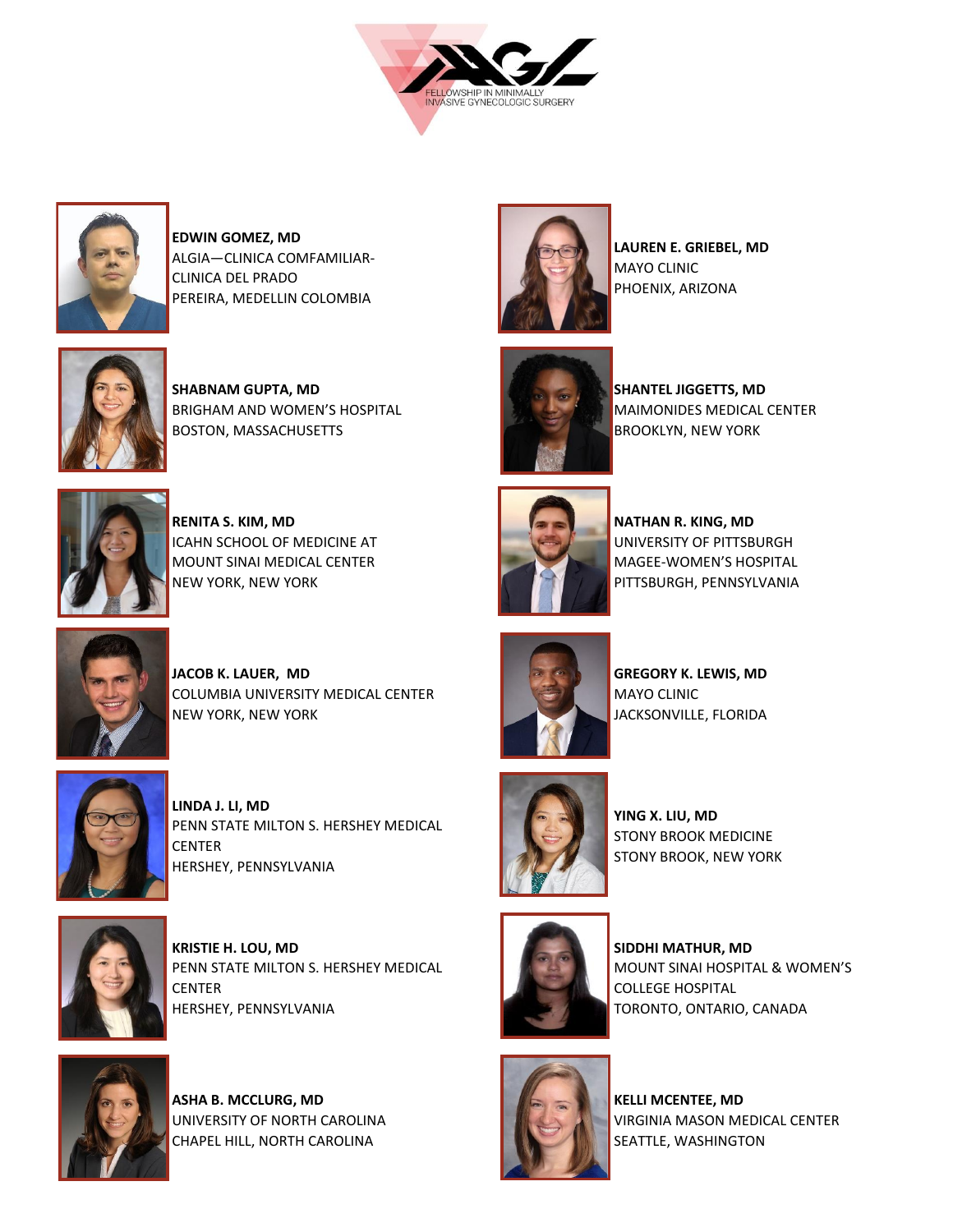



**EDWIN GOMEZ, MD**  ALGIA—CLINICA COMFAMILIAR-CLINICA DEL PRADO PEREIRA, MEDELLIN COLOMBIA



**SHABNAM GUPTA, MD**  BRIGHAM AND WOMEN'S HOSPITAL BOSTON, MASSACHUSETTS



**RENITA S. KIM, MD**  ICAHN SCHOOL OF MEDICINE AT MOUNT SINAI MEDICAL CENTER NEW YORK, NEW YORK



**NATHAN R. KING, MD**  UNIVERSITY OF PITTSBURGH MAGEE-WOMEN'S HOSPITAL PITTSBURGH, PENNSYLVANIA

**LAUREN E. GRIEBEL, MD** 

**SHANTEL JIGGETTS, MD** 

BROOKLYN, NEW YORK

MAIMONIDES MEDICAL CENTER

MAYO CLINIC PHOENIX, ARIZONA



**JACOB K. LAUER, MD** COLUMBIA UNIVERSITY MEDICAL CENTER NEW YORK, NEW YORK



**LINDA J. LI, MD** PENN STATE MILTON S. HERSHEY MEDICAL CENTER HERSHEY, PENNSYLVANIA



**KRISTIE H. LOU, MD**  PENN STATE MILTON S. HERSHEY MEDICAL CENTER HERSHEY, PENNSYLVANIA



**ASHA B. MCCLURG, MD** UNIVERSITY OF NORTH CAROLINA CHAPEL HILL, NORTH CAROLINA



**GREGORY K. LEWIS, MD**  MAYO CLINIC JACKSONVILLE, FLORIDA



**YING X. LIU, MD**  STONY BROOK MEDICINE STONY BROOK, NEW YORK



**SIDDHI MATHUR, MD**  MOUNT SINAI HOSPITAL & WOMEN'S COLLEGE HOSPITAL TORONTO, ONTARIO, CANADA



**KELLI MCENTEE, MD**  VIRGINIA MASON MEDICAL CENTER SEATTLE, WASHINGTON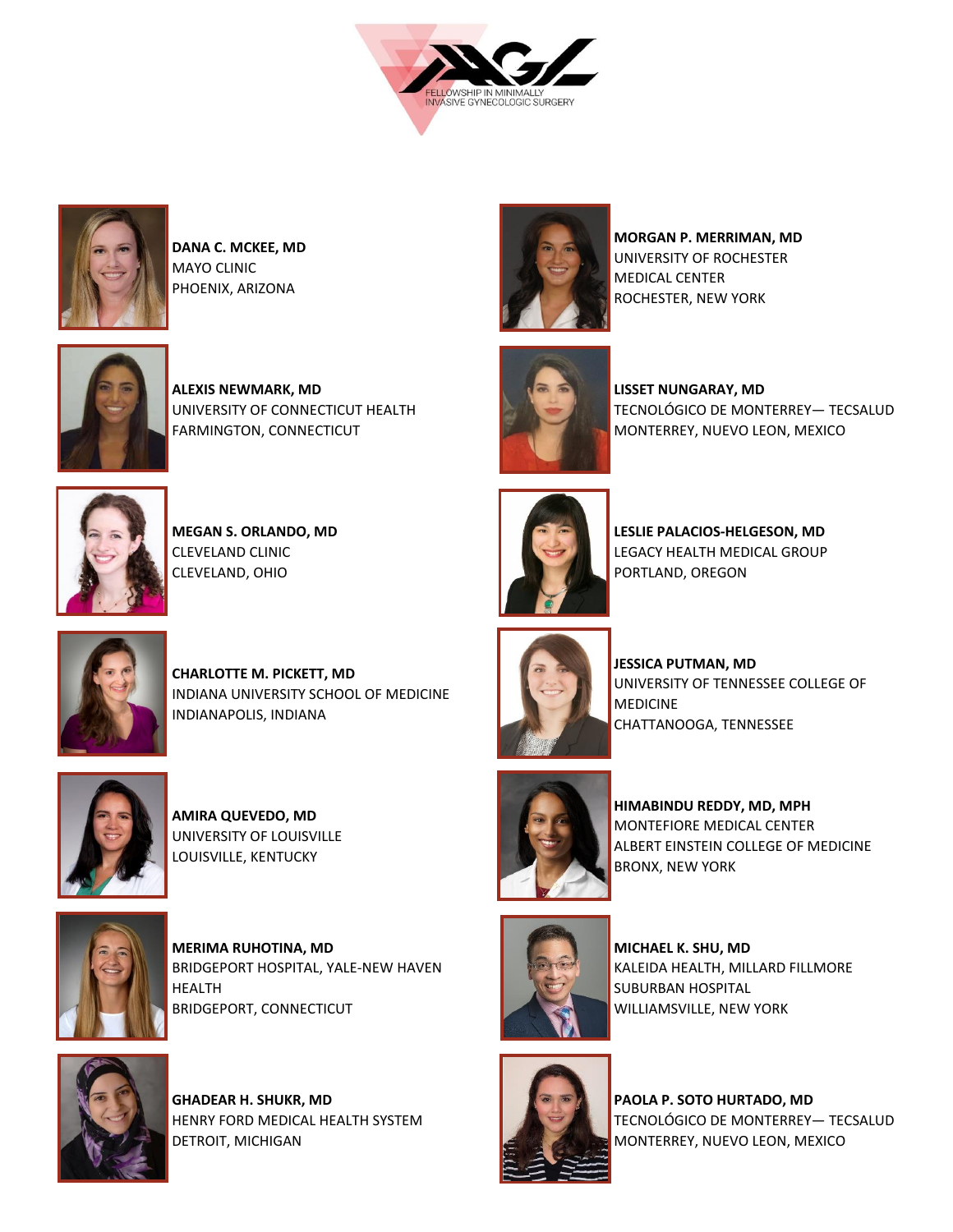



**DANA C. MCKEE, MD**  MAYO CLINIC PHOENIX, ARIZONA



**ALEXIS NEWMARK, MD** UNIVERSITY OF CONNECTICUT HEALTH FARMINGTON, CONNECTICUT



**MEGAN S. ORLANDO, MD**  CLEVELAND CLINIC CLEVELAND, OHIO



**MORGAN P. MERRIMAN, MD**  UNIVERSITY OF ROCHESTER MEDICAL CENTER ROCHESTER, NEW YORK



**LISSET NUNGARAY, MD** TECNOLÓGICO DE MONTERREY— TECSALUD MONTERREY, NUEVO LEON, MEXICO



**LESLIE PALACIOS-HELGESON, MD**  LEGACY HEALTH MEDICAL GROUP PORTLAND, OREGON



**CHARLOTTE M. PICKETT, MD** INDIANA UNIVERSITY SCHOOL OF MEDICINE INDIANAPOLIS, INDIANA



**AMIRA QUEVEDO, MD**  UNIVERSITY OF LOUISVILLE LOUISVILLE, KENTUCKY



**MERIMA RUHOTINA, MD**  BRIDGEPORT HOSPITAL, YALE-NEW HAVEN HEALTH BRIDGEPORT, CONNECTICUT



**GHADEAR H. SHUKR, MD**  HENRY FORD MEDICAL HEALTH SYSTEM DETROIT, MICHIGAN



**JESSICA PUTMAN, MD**  UNIVERSITY OF TENNESSEE COLLEGE OF MEDICINE CHATTANOOGA, TENNESSEE



**HIMABINDU REDDY, MD, MPH**  MONTEFIORE MEDICAL CENTER ALBERT EINSTEIN COLLEGE OF MEDICINE BRONX, NEW YORK



**MICHAEL K. SHU, MD**  KALEIDA HEALTH, MILLARD FILLMORE SUBURBAN HOSPITAL WILLIAMSVILLE, NEW YORK



**PAOLA P. SOTO HURTADO, MD** TECNOLÓGICO DE MONTERREY— TECSALUD MONTERREY, NUEVO LEON, MEXICO